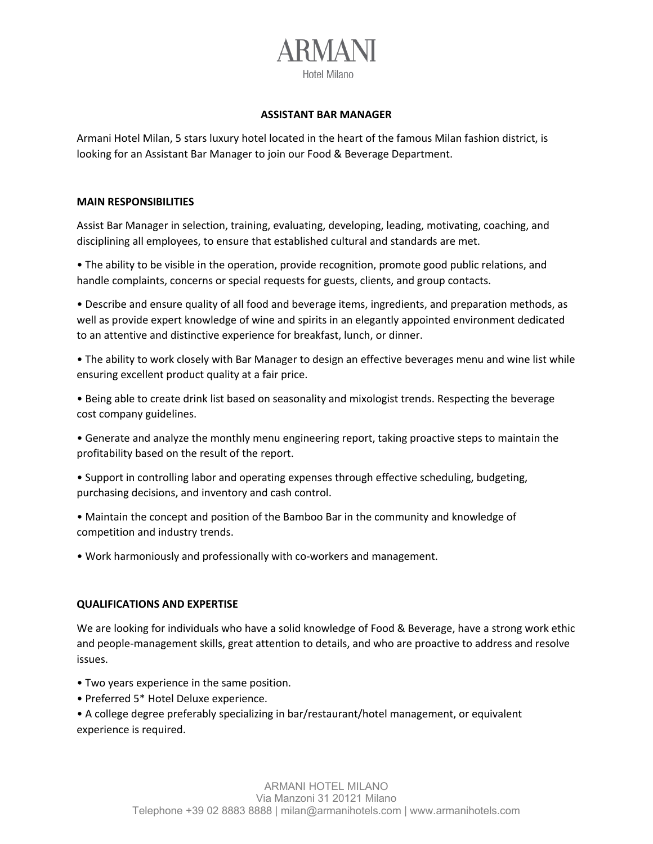# Hotel Milano

#### **ASSISTANT BAR MANAGER**

Armani Hotel Milan, 5 stars luxury hotel located in the heart of the famous Milan fashion district, is looking for an Assistant Bar Manager to join our Food & Beverage Department.

#### **MAIN RESPONSIBILITIES**

Assist Bar Manager in selection, training, evaluating, developing, leading, motivating, coaching, and disciplining all employees, to ensure that established cultural and standards are met.

• The ability to be visible in the operation, provide recognition, promote good public relations, and handle complaints, concerns or special requests for guests, clients, and group contacts.

• Describe and ensure quality of all food and beverage items, ingredients, and preparation methods, as well as provide expert knowledge of wine and spirits in an elegantly appointed environment dedicated to an attentive and distinctive experience for breakfast, lunch, or dinner.

• The ability to work closely with Bar Manager to design an effective beverages menu and wine list while ensuring excellent product quality at a fair price.

• Being able to create drink list based on seasonality and mixologist trends. Respecting the beverage cost company guidelines.

• Generate and analyze the monthly menu engineering report, taking proactive steps to maintain the profitability based on the result of the report.

• Support in controlling labor and operating expenses through effective scheduling, budgeting, purchasing decisions, and inventory and cash control.

• Maintain the concept and position of the Bamboo Bar in the community and knowledge of competition and industry trends.

• Work harmoniously and professionally with co-workers and management.

### **QUALIFICATIONS AND EXPERTISE**

We are looking for individuals who have a solid knowledge of Food & Beverage, have a strong work ethic and people-management skills, great attention to details, and who are proactive to address and resolve issues.

- Two years experience in the same position.
- Preferred 5\* Hotel Deluxe experience.

• A college degree preferably specializing in bar/restaurant/hotel management, or equivalent experience is required.